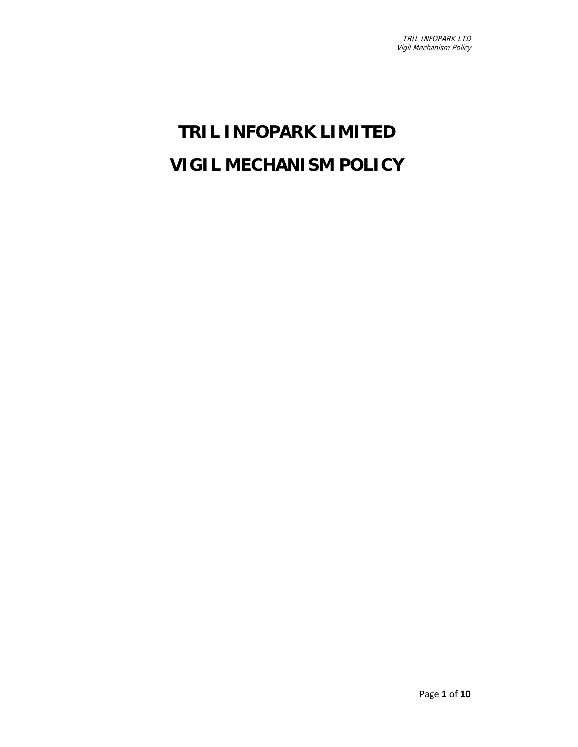# **TRIL INFOPARK LIMITED VIGIL MECHANISM POLICY**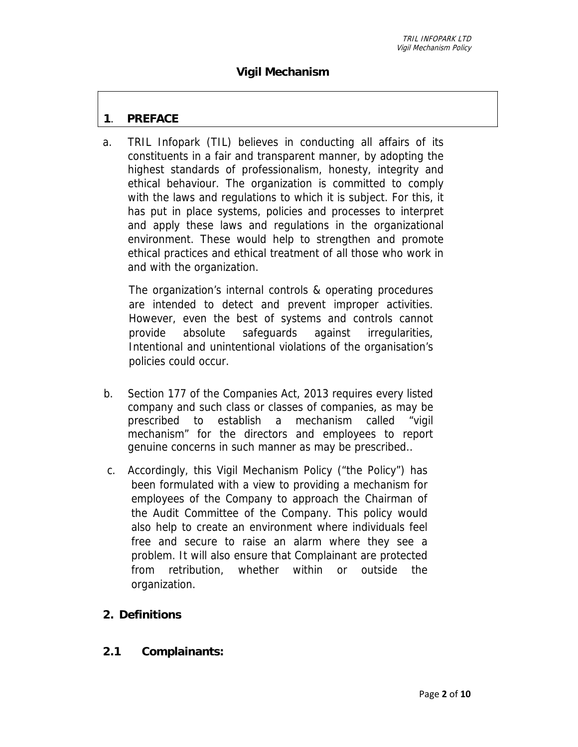# **Vigil Mechanism**

#### **1**. **PREFACE**

a. TRIL Infopark (TIL) believes in conducting all affairs of its constituents in a fair and transparent manner, by adopting the highest standards of professionalism, honesty, integrity and ethical behaviour. The organization is committed to comply with the laws and regulations to which it is subject. For this, it has put in place systems, policies and processes to interpret and apply these laws and regulations in the organizational environment. These would help to strengthen and promote ethical practices and ethical treatment of all those who work in and with the organization.

The organization's internal controls & operating procedures are intended to detect and prevent improper activities. However, even the best of systems and controls cannot provide absolute safeguards against irregularities, Intentional and unintentional violations of the organisation's policies could occur.

- b. Section 177 of the Companies Act, 2013 requires every listed company and such class or classes of companies, as may be prescribed to establish a mechanism called "vigil mechanism" for the directors and employees to report genuine concerns in such manner as may be prescribed..
- c. Accordingly, this Vigil Mechanism Policy ("the Policy") has been formulated with a view to providing a mechanism for employees of the Company to approach the Chairman of the Audit Committee of the Company. This policy would also help to create an environment where individuals feel free and secure to raise an alarm where they see a problem. It will also ensure that Complainant are protected from retribution, whether within or outside the organization.

#### **2. Definitions**

**2.1 Complainants:**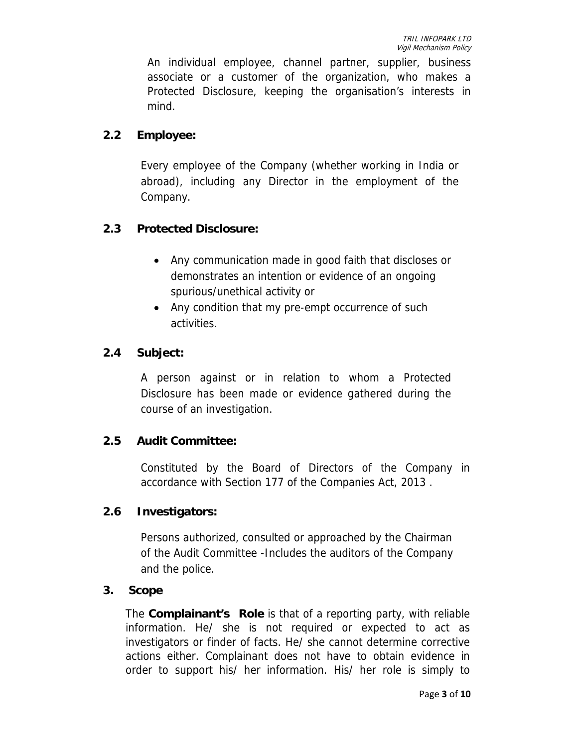An individual employee, channel partner, supplier, business associate or a customer of the organization, who makes a Protected Disclosure, keeping the organisation's interests in mind.

## **2.2 Employee:**

Every employee of the Company (whether working in India or abroad), including any Director in the employment of the Company.

# **2.3 Protected Disclosure:**

- Any communication made in good faith that discloses or demonstrates an intention or evidence of an ongoing spurious/unethical activity or
- Any condition that my pre-empt occurrence of such activities.

#### **2.4 Subject:**

A person against or in relation to whom a Protected Disclosure has been made or evidence gathered during the course of an investigation.

#### **2.5 Audit Committee:**

Constituted by the Board of Directors of the Company in accordance with Section 177 of the Companies Act, 2013 .

#### **2.6 Investigators:**

Persons authorized, consulted or approached by the Chairman of the Audit Committee -Includes the auditors of the Company and the police.

#### **3. Scope**

The **Complainant's Role** is that of a reporting party, with reliable information. He/ she is not required or expected to act as investigators or finder of facts. He/ she cannot determine corrective actions either. Complainant does not have to obtain evidence in order to support his/ her information. His/ her role is simply to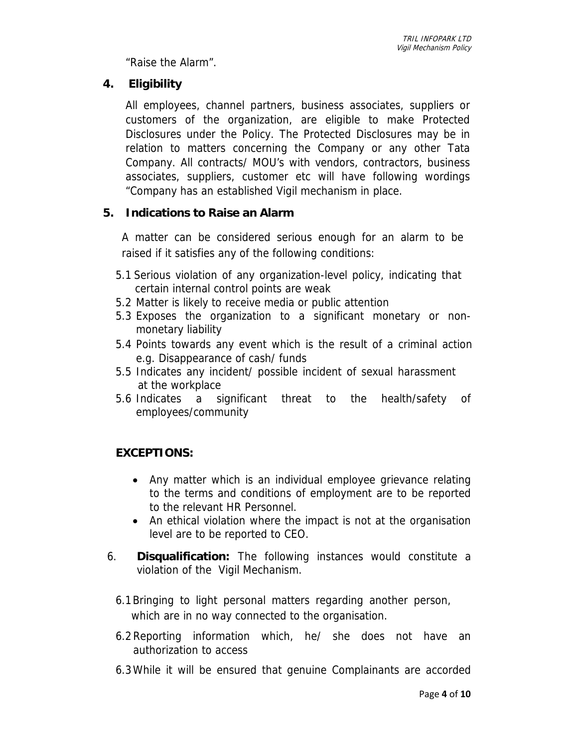"Raise the Alarm".

# **4. Eligibility**

All employees, channel partners, business associates, suppliers or customers of the organization, are eligible to make Protected Disclosures under the Policy. The Protected Disclosures may be in relation to matters concerning the Company or any other Tata Company. All contracts/ MOU's with vendors, contractors, business associates, suppliers, customer etc will have following wordings "Company has an established Vigil mechanism in place.

# **5. Indications to Raise an Alarm**

A matter can be considered serious enough for an alarm to be raised if it satisfies any of the following conditions:

- 5.1 Serious violation of any organization-level policy, indicating that certain internal control points are weak
- 5.2 Matter is likely to receive media or public attention
- 5.3 Exposes the organization to a significant monetary or nonmonetary liability
- 5.4 Points towards any event which is the result of a criminal action e.g. Disappearance of cash/ funds
- 5.5 Indicates any incident/ possible incident of sexual harassment at the workplace
- 5.6 Indicates a significant threat to the health/safety of employees/community

# **EXCEPTIONS:**

- Any matter which is an individual employee grievance relating to the terms and conditions of employment are to be reported to the relevant HR Personnel.
- An ethical violation where the impact is not at the organisation level are to be reported to CEO.
- 6. **Disqualification:** The following instances would constitute a violation of the Vigil Mechanism.
	- 6.1Bringing to light personal matters regarding another person, which are in no way connected to the organisation.
	- 6.2 Reporting information which, he/ she does not have an authorization to access
	- 6.3While it will be ensured that genuine Complainants are accorded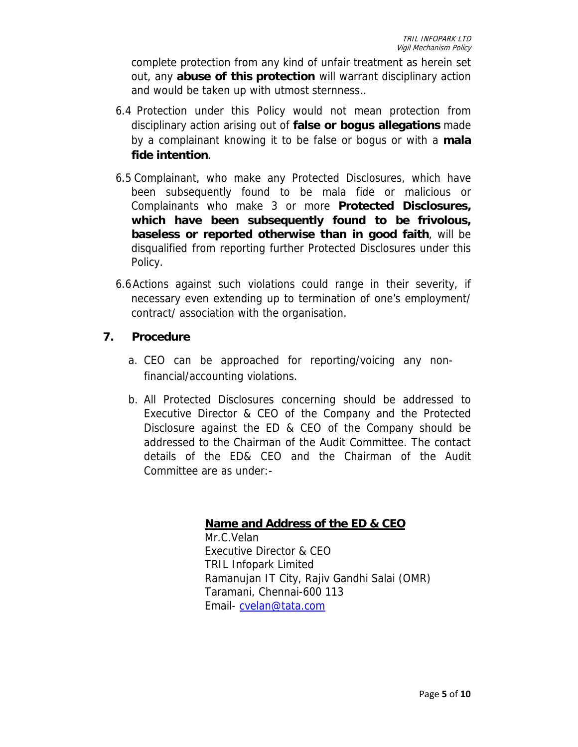complete protection from any kind of unfair treatment as herein set out, any **abuse of this protection** will warrant disciplinary action and would be taken up with utmost sternness..

- 6.4 Protection under this Policy would not mean protection from disciplinary action arising out of **false or bogus allegations** made by a complainant knowing it to be false or bogus or with a **mala fide intention**.
- 6.5 Complainant, who make any Protected Disclosures, which have been subsequently found to be mala fide or malicious or Complainants who make 3 or more **Protected Disclosures, which have been subsequently found to be frivolous, baseless or reported otherwise than in good faith**, will be disqualified from reporting further Protected Disclosures under this Policy.
- 6.6Actions against such violations could range in their severity, if necessary even extending up to termination of one's employment/ contract/ association with the organisation.

#### **7. Procedure**

- a. CEO can be approached for reporting/voicing any nonfinancial/accounting violations.
- b. All Protected Disclosures concerning should be addressed to Executive Director & CEO of the Company and the Protected Disclosure against the ED & CEO of the Company should be addressed to the Chairman of the Audit Committee. The contact details of the ED& CEO and the Chairman of the Audit Committee are as under:-

# **Name and Address of the ED & CEO**

Mr.C.Velan Executive Director & CEO TRIL Infopark Limited Ramanujan IT City, Rajiv Gandhi Salai (OMR) Taramani, Chennai-600 113 Email- cvelan@tata.com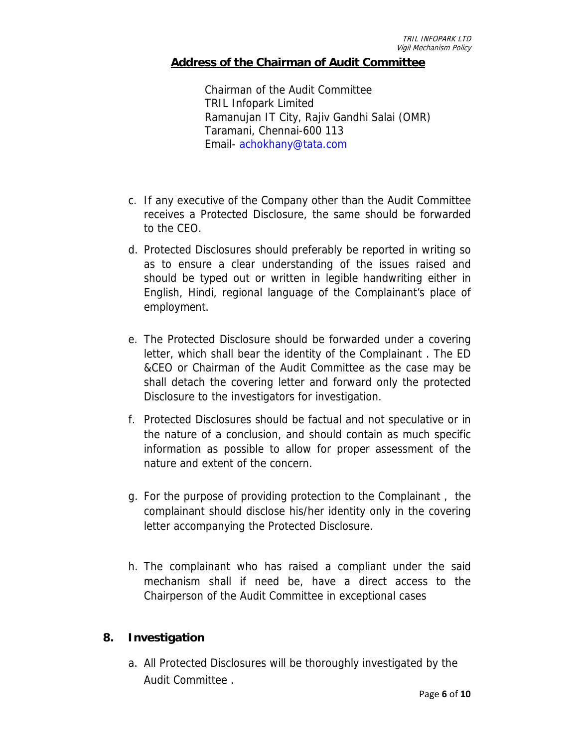#### **Address of the Chairman of Audit Committee**

Chairman of the Audit Committee TRIL Infopark Limited Ramanujan IT City, Rajiv Gandhi Salai (OMR) Taramani, Chennai-600 113 Email- achokhany@tata.com

- c. If any executive of the Company other than the Audit Committee receives a Protected Disclosure, the same should be forwarded to the CEO.
- d. Protected Disclosures should preferably be reported in writing so as to ensure a clear understanding of the issues raised and should be typed out or written in legible handwriting either in English, Hindi, regional language of the Complainant's place of employment.
- e. The Protected Disclosure should be forwarded under a covering letter, which shall bear the identity of the Complainant . The ED &CEO or Chairman of the Audit Committee as the case may be shall detach the covering letter and forward only the protected Disclosure to the investigators for investigation.
- f. Protected Disclosures should be factual and not speculative or in the nature of a conclusion, and should contain as much specific information as possible to allow for proper assessment of the nature and extent of the concern.
- g. For the purpose of providing protection to the Complainant , the complainant should disclose his/her identity only in the covering letter accompanying the Protected Disclosure.
- h. The complainant who has raised a compliant under the said mechanism shall if need be, have a direct access to the Chairperson of the Audit Committee in exceptional cases

#### **8. Investigation**

a. All Protected Disclosures will be thoroughly investigated by the Audit Committee .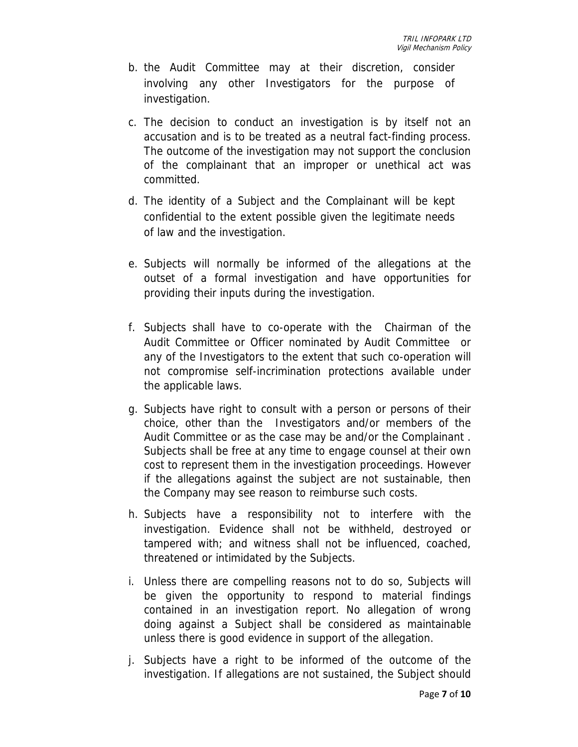- b. the Audit Committee may at their discretion, consider involving any other Investigators for the purpose of investigation.
- c. The decision to conduct an investigation is by itself not an accusation and is to be treated as a neutral fact-finding process. The outcome of the investigation may not support the conclusion of the complainant that an improper or unethical act was committed.
- d. The identity of a Subject and the Complainant will be kept confidential to the extent possible given the legitimate needs of law and the investigation.
- e. Subjects will normally be informed of the allegations at the outset of a formal investigation and have opportunities for providing their inputs during the investigation.
- f. Subjects shall have to co-operate with the Chairman of the Audit Committee or Officer nominated by Audit Committee or any of the Investigators to the extent that such co-operation will not compromise self-incrimination protections available under the applicable laws.
- g. Subjects have right to consult with a person or persons of their choice, other than the Investigators and/or members of the Audit Committee or as the case may be and/or the Complainant . Subjects shall be free at any time to engage counsel at their own cost to represent them in the investigation proceedings. However if the allegations against the subject are not sustainable, then the Company may see reason to reimburse such costs.
- h. Subjects have a responsibility not to interfere with the investigation. Evidence shall not be withheld, destroyed or tampered with; and witness shall not be influenced, coached, threatened or intimidated by the Subjects.
- i. Unless there are compelling reasons not to do so, Subjects will be given the opportunity to respond to material findings contained in an investigation report. No allegation of wrong doing against a Subject shall be considered as maintainable unless there is good evidence in support of the allegation.
- j. Subjects have a right to be informed of the outcome of the investigation. If allegations are not sustained, the Subject should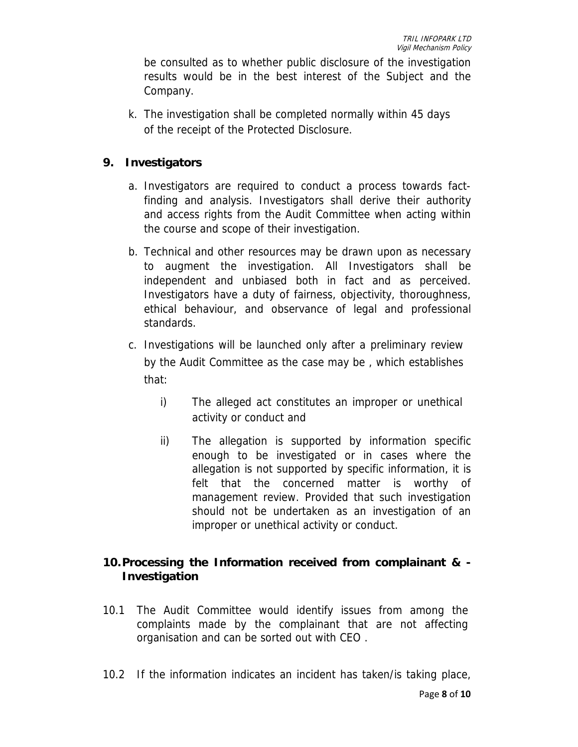be consulted as to whether public disclosure of the investigation results would be in the best interest of the Subject and the Company.

k. The investigation shall be completed normally within 45 days of the receipt of the Protected Disclosure.

# **9. Investigators**

- a. Investigators are required to conduct a process towards factfinding and analysis. Investigators shall derive their authority and access rights from the Audit Committee when acting within the course and scope of their investigation.
- b. Technical and other resources may be drawn upon as necessary to augment the investigation. All Investigators shall be independent and unbiased both in fact and as perceived. Investigators have a duty of fairness, objectivity, thoroughness, ethical behaviour, and observance of legal and professional standards.
- c. Investigations will be launched only after a preliminary review by the Audit Committee as the case may be , which establishes that:
	- i) The alleged act constitutes an improper or unethical activity or conduct and
	- ii) The allegation is supported by information specific enough to be investigated or in cases where the allegation is not supported by specific information, it is felt that the concerned matter is worthy of management review. Provided that such investigation should not be undertaken as an investigation of an improper or unethical activity or conduct.

# **10.Processing the Information received from complainant & - Investigation**

- 10.1 The Audit Committee would identify issues from among the complaints made by the complainant that are not affecting organisation and can be sorted out with CEO .
- 10.2 If the information indicates an incident has taken/is taking place,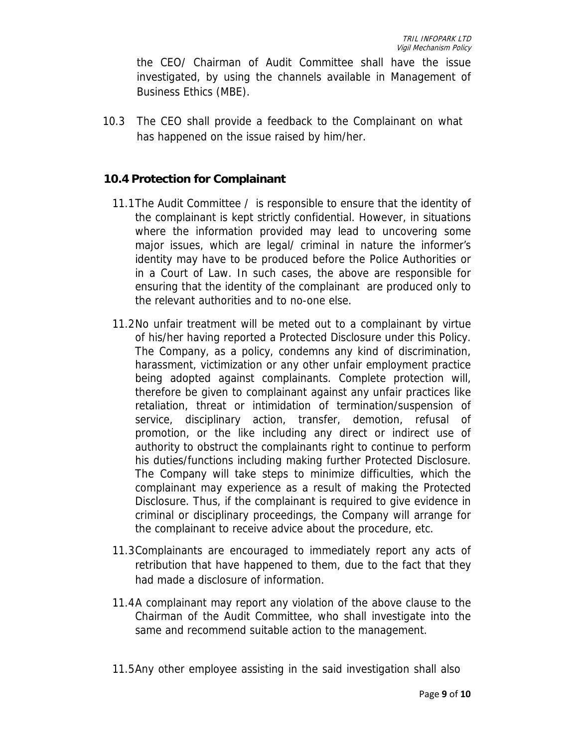the CEO/ Chairman of Audit Committee shall have the issue investigated, by using the channels available in Management of Business Ethics (MBE).

10.3 The CEO shall provide a feedback to the Complainant on what has happened on the issue raised by him/her.

## **10.4 Protection for Complainant**

- 11.1The Audit Committee / is responsible to ensure that the identity of the complainant is kept strictly confidential. However, in situations where the information provided may lead to uncovering some major issues, which are legal/ criminal in nature the informer's identity may have to be produced before the Police Authorities or in a Court of Law. In such cases, the above are responsible for ensuring that the identity of the complainant are produced only to the relevant authorities and to no-one else.
- 11.2No unfair treatment will be meted out to a complainant by virtue of his/her having reported a Protected Disclosure under this Policy. The Company, as a policy, condemns any kind of discrimination, harassment, victimization or any other unfair employment practice being adopted against complainants. Complete protection will, therefore be given to complainant against any unfair practices like retaliation, threat or intimidation of termination/suspension of service, disciplinary action, transfer, demotion, refusal of promotion, or the like including any direct or indirect use of authority to obstruct the complainants right to continue to perform his duties/functions including making further Protected Disclosure. The Company will take steps to minimize difficulties, which the complainant may experience as a result of making the Protected Disclosure. Thus, if the complainant is required to give evidence in criminal or disciplinary proceedings, the Company will arrange for the complainant to receive advice about the procedure, etc.
- 11.3Complainants are encouraged to immediately report any acts of retribution that have happened to them, due to the fact that they had made a disclosure of information.
- 11.4A complainant may report any violation of the above clause to the Chairman of the Audit Committee, who shall investigate into the same and recommend suitable action to the management.
- 11.5Any other employee assisting in the said investigation shall also